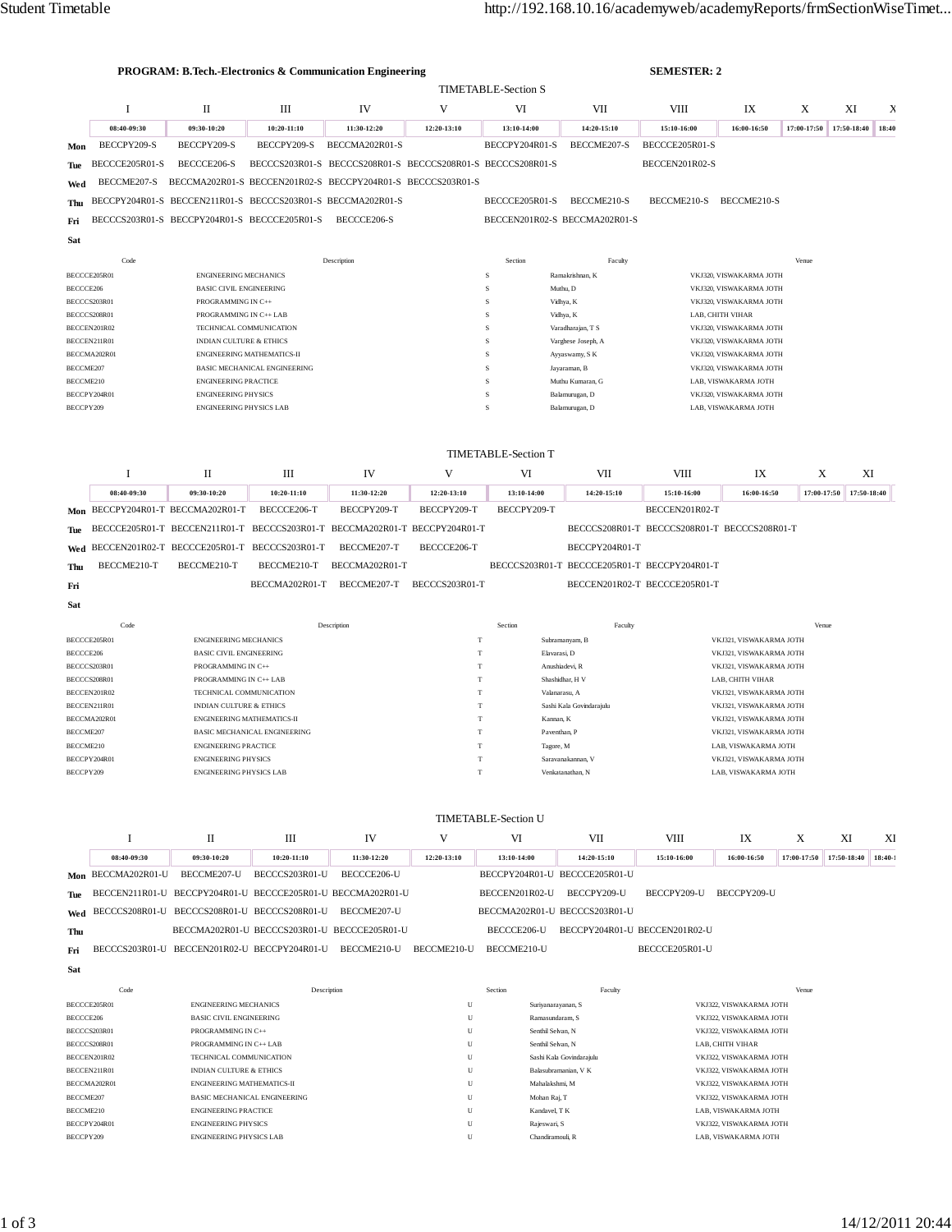| PROGRAM: B.Tech.-Electronics & Communication Engineering<br><b>SEMESTER: 2</b><br><b>TIMETABLE-Section S</b> |                              |                                                              |                                                            |                                                                                  |                      |                               |                                           |                                              |                                                    |             |             |             |
|--------------------------------------------------------------------------------------------------------------|------------------------------|--------------------------------------------------------------|------------------------------------------------------------|----------------------------------------------------------------------------------|----------------------|-------------------------------|-------------------------------------------|----------------------------------------------|----------------------------------------------------|-------------|-------------|-------------|
|                                                                                                              | Ι                            | П                                                            | Ш                                                          | IV                                                                               | V                    | VI                            | VII                                       | <b>VIII</b>                                  | IX                                                 | X           | XI          | Х           |
|                                                                                                              | 08:40-09:30                  | 09:30-10:20                                                  | 10:20-11:10                                                | 11:30-12:20                                                                      | 12:20-13:10          | 13:10-14:00                   | 14:20-15:10                               | 15:10-16:00                                  | 16:00-16:50                                        | 17:00-17:50 | 17:50-18:40 | 18:40       |
| Mon                                                                                                          | BECCPY209-S                  | BECCPY209-S                                                  | BECCPY209-S                                                | BECCMA202R01-S                                                                   |                      | BECCPY204R01-S                | BECCME207-S                               | BECCCE205R01-S                               |                                                    |             |             |             |
| Tue                                                                                                          | BECCCE205R01-S               | BECCCE206-S                                                  |                                                            | BECCCS203R01-S BECCCS208R01-S BECCCS208R01-S BECCCS208R01-S                      |                      |                               |                                           | BECCEN201R02-S                               |                                                    |             |             |             |
| Wed                                                                                                          | BECCME207-S                  |                                                              |                                                            | BECCMA202R01-S BECCEN201R02-S BECCPY204R01-S BECCCS203R01-S                      |                      |                               |                                           |                                              |                                                    |             |             |             |
| Thu                                                                                                          |                              | BECCPY204R01-S BECCEN211R01-S BECCCS203R01-S BECCMA202R01-S  |                                                            |                                                                                  |                      | BECCCE205R01-S                | BECCME210-S                               | BECCME210-S                                  | BECCME210-S                                        |             |             |             |
| Fri                                                                                                          |                              | BECCCS203R01-S BECCPY204R01-S BECCCE205R01-S                 |                                                            | BECCCE206-S                                                                      |                      |                               | BECCEN201R02-S BECCMA202R01-S             |                                              |                                                    |             |             |             |
| Sat                                                                                                          |                              |                                                              |                                                            |                                                                                  |                      |                               |                                           |                                              |                                                    |             |             |             |
|                                                                                                              | Code                         |                                                              |                                                            | Description                                                                      |                      | Section                       | Faculty                                   |                                              |                                                    | Venue       |             |             |
|                                                                                                              | BECCCE205R01                 | <b>ENGINEERING MECHANICS</b>                                 |                                                            |                                                                                  |                      | s                             | Ramakrishnan, K                           |                                              | VKJ320, VISWAKARMA JOTH                            |             |             |             |
| BECCCE206                                                                                                    |                              | <b>BASIC CIVIL ENGINEERING</b>                               |                                                            |                                                                                  |                      | $\,$ S                        | Muthu, D                                  |                                              | VKJ320, VISWAKARMA JOTH                            |             |             |             |
|                                                                                                              | BECCCS203R01<br>BECCCS208R01 | PROGRAMMING IN C++<br>PROGRAMMING IN C++ LAB                 |                                                            |                                                                                  |                      | s<br>s                        | Vidhya, K<br>Vidhya, K                    |                                              | VKJ320, VISWAKARMA JOTH<br>LAB, CHITH VIHAR        |             |             |             |
|                                                                                                              | BECCEN201R02                 |                                                              | TECHNICAL COMMUNICATION                                    |                                                                                  |                      | s                             | Varadharajan, T S                         |                                              | VKJ320, VISWAKARMA JOTH                            |             |             |             |
|                                                                                                              | BECCEN211R01                 | <b>INDIAN CULTURE &amp; ETHICS</b>                           |                                                            |                                                                                  |                      | s                             | Varghese Joseph, A                        |                                              | VKJ320, VISWAKARMA JOTH                            |             |             |             |
| BECCME207                                                                                                    | BECCMA202R01                 |                                                              | ENGINEERING MATHEMATICS-II<br>BASIC MECHANICAL ENGINEERING |                                                                                  |                      | S<br>$\,$ S                   | Ayyaswamy, S K<br>Jayaraman, B            |                                              | VKJ320, VISWAKARMA JOTH<br>VKJ320, VISWAKARMA JOTH |             |             |             |
| BECCME210                                                                                                    |                              | <b>ENGINEERING PRACTICE</b><br>s<br>Muthu Kumaran, G         |                                                            |                                                                                  | LAB. VISWAKARMA JOTH |                               |                                           |                                              |                                                    |             |             |             |
|                                                                                                              | BECCPY204R01                 | <b>ENGINEERING PHYSICS</b><br><b>ENGINEERING PHYSICS LAB</b> |                                                            |                                                                                  |                      | s                             | Balamurugan, D                            |                                              | VKJ320, VISWAKARMA JOTH                            |             |             |             |
| BECCPY209                                                                                                    |                              |                                                              |                                                            |                                                                                  |                      | $\rm S$                       | Balamurugan, D                            |                                              | LAB, VISWAKARMA JOTH                               |             |             |             |
|                                                                                                              |                              |                                                              |                                                            |                                                                                  |                      | <b>TIMETABLE-Section T</b>    |                                           |                                              |                                                    |             |             |             |
|                                                                                                              | -1                           | П                                                            | Ш                                                          | IV                                                                               | V                    | VI                            | VII                                       | <b>VIII</b>                                  | IX                                                 | X           |             | XI          |
|                                                                                                              | 08:40-09:30                  | 09:30-10:20                                                  | 10:20-11:10                                                | 11:30-12:20                                                                      | 12:20-13:10          | 13:10-14:00                   | 14:20-15:10                               | 15:10-16:00                                  | 16:00-16:50                                        | 17:00-17:50 |             | 17:50-18:40 |
| Mon                                                                                                          |                              | BECCPY204R01-T BECCMA202R01-T                                | BECCCE206-T                                                | BECCPY209-T                                                                      | BECCPY209-T          | BECCPY209-T                   |                                           | BECCEN201R02-T                               |                                                    |             |             |             |
| Tue                                                                                                          |                              |                                                              |                                                            | BECCCE205R01-T BECCEN211R01-T BECCCS203R01-T BECCMA202R01-T BECCPY204R01-T       |                      |                               |                                           | BECCCS208R01-T BECCCS208R01-T BECCCS208R01-T |                                                    |             |             |             |
| Wed                                                                                                          |                              | BECCEN201R02-T BECCCE205R01-T BECCCS203R01-T                 |                                                            | BECCME207-T                                                                      | BECCCE206-T          |                               | BECCPY204R01-T                            |                                              |                                                    |             |             |             |
| Thu                                                                                                          | BECCME210-T                  | BECCME210-T                                                  | BECCME210-T                                                | BECCMA202R01-T                                                                   |                      |                               |                                           | BECCCS203R01-T BECCCE205R01-T BECCPY204R01-T |                                                    |             |             |             |
| Fri                                                                                                          |                              |                                                              | BECCMA202R01-T                                             | BECCME207-T                                                                      | BECCCS203R01-T       |                               |                                           | BECCEN201R02-T BECCCE205R01-T                |                                                    |             |             |             |
| Sat                                                                                                          |                              |                                                              |                                                            |                                                                                  |                      |                               |                                           |                                              |                                                    |             |             |             |
|                                                                                                              |                              |                                                              |                                                            |                                                                                  |                      |                               |                                           |                                              |                                                    |             |             |             |
|                                                                                                              | Code                         |                                                              |                                                            | Description                                                                      |                      | Section                       | Faculty                                   |                                              |                                                    | Venue       |             |             |
|                                                                                                              | BECCCE205R01                 | <b>ENGINEERING MECHANICS</b>                                 |                                                            |                                                                                  |                      | $\mathbf T$                   | Subramanyam, B                            |                                              | VKJ321, VISWAKARMA JOTH                            |             |             |             |
|                                                                                                              |                              | <b>BASIC CIVIL ENGINEERING</b>                               |                                                            |                                                                                  | T                    | Elavarasi, D                  |                                           |                                              | VKJ321, VISWAKARMA JOTH                            |             |             |             |
|                                                                                                              | BECCCS203R01<br>BECCCS208R01 | PROGRAMMING IN C++<br>PROGRAMMING IN C++ LAB                 |                                                            |                                                                                  | $^{\rm T}$           | $\mathbf T$                   | Anushiadevi, R<br>Shashidhar, H V         |                                              | VKJ321, VISWAKARMA JOTH<br>LAB. CHITH VIHAR        |             |             |             |
| BECCCE206                                                                                                    | BECCEN201R02                 | TECHNICAL COMMUNICATION                                      |                                                            |                                                                                  | T                    |                               | Valanarasu, A                             |                                              | VKJ321, VISWAKARMA JOTH                            |             |             |             |
|                                                                                                              | BECCEN211R01                 | <b>INDIAN CULTURE &amp; ETHICS</b>                           |                                                            |                                                                                  | T                    |                               | Sashi Kala Govindarajulu                  |                                              | VKJ321, VISWAKARMA JOTH                            |             |             |             |
| BECCME207                                                                                                    | BECCMA202R01                 | <b>ENGINEERING MATHEMATICS-II</b>                            | BASIC MECHANICAL ENGINEERING                               |                                                                                  | т<br>T               | Kannan, K<br>Paventhan, P     |                                           |                                              | VKJ321, VISWAKARMA JOTH<br>VKJ321, VISWAKARMA JOTH |             |             |             |
|                                                                                                              |                              | <b>ENGINEERING PRACTICE</b>                                  |                                                            |                                                                                  |                      | Tagore, M                     |                                           |                                              | LAB, VISWAKARMA JOTH                               |             |             |             |
| BECCME210<br>BECCPY209                                                                                       | BECCPY204R01                 | <b>ENGINEERING PHYSICS</b><br><b>ENGINEERING PHYSICS LAB</b> |                                                            |                                                                                  | T                    | T                             | Saravanakannan, V<br>Venkatanathan, N     |                                              | VKJ321, VISWAKARMA JOTH<br>LAB, VISWAKARMA JOTH    |             |             |             |
|                                                                                                              |                              |                                                              |                                                            |                                                                                  |                      |                               |                                           |                                              |                                                    |             |             |             |
|                                                                                                              |                              |                                                              |                                                            |                                                                                  |                      | <b>TIMETABLE-Section U</b>    |                                           |                                              |                                                    |             |             |             |
|                                                                                                              | Ι.                           | П                                                            | Ш                                                          | IV                                                                               | V                    | VI                            | VІІ                                       | VIII                                         | IX                                                 | X           | XI          | XI          |
|                                                                                                              | 08:40-09:30                  | 09:30-10:20                                                  | $10:20 - 11:10$                                            | 11:30-12:20                                                                      | 12:20-13:10          | 13:10-14:00                   | 14:20-15:10                               | 15:10-16:00                                  | 16:00-16:50                                        | 17:00-17:50 | 17:50-18:40 | $18:40-1$   |
|                                                                                                              |                              | Mon BECCMA202R01-U BECCME207-U                               | BECCCS203R01-U                                             | BECCCE206-U                                                                      |                      | BECCPY204R01-U BECCCE205R01-U |                                           |                                              |                                                    |             |             |             |
|                                                                                                              |                              |                                                              |                                                            | BECCEN211R01-U BECCPY204R01-U BECCCE205R01-U BECCMA202R01-U                      |                      | BECCEN201R02-U BECCPY209-U    |                                           | BECCPY209-U BECCPY209-U                      |                                                    |             |             |             |
| Tue<br>Wed                                                                                                   |                              | BECCCS208R01-U BECCCS208R01-U BECCCS208R01-U                 |                                                            | BECCME207-U                                                                      |                      | BECCMA202R01-U BECCCS203R01-U |                                           |                                              |                                                    |             |             |             |
| Thu                                                                                                          |                              |                                                              |                                                            | BECCMA202R01-U BECCCS203R01-U BECCCE205R01-U                                     |                      |                               | BECCCE206-U BECCPY204R01-U BECCEN201R02-U |                                              |                                                    |             |             |             |
| Fri                                                                                                          |                              |                                                              |                                                            | BECCCS203R01-U BECCEN201R02-U BECCPY204R01-U BECCME210-U BECCME210-U BECCME210-U |                      |                               |                                           | BECCCE205R01-U                               |                                                    |             |             |             |

| Code         | Description                         | Section | Faculty                  | Venue                   |
|--------------|-------------------------------------|---------|--------------------------|-------------------------|
| BECCCE205R01 | <b>ENGINEERING MECHANICS</b>        | U       | Suriyanarayanan, S       | VKJ322. VISWAKARMA JOTH |
| BECCCE206    | <b>BASIC CIVIL ENGINEERING</b>      | U       | Ramasundaram, S          | VKJ322, VISWAKARMA JOTH |
| BECCCS203R01 | PROGRAMMING IN C++                  | U       | Senthil Selvan, N        | VKJ322. VISWAKARMA JOTH |
| BECCCS208R01 | PROGRAMMING IN C++ LAB              | U       | Senthil Selvan, N        | LAB. CHITH VIHAR        |
| BECCEN201R02 | TECHNICAL COMMUNICATION             | U       | Sashi Kala Govindarajulu | VKJ322. VISWAKARMA JOTH |
| BECCEN211R01 | <b>INDIAN CULTURE &amp; ETHICS</b>  | U       | Balasubramanian, V K     | VKJ322, VISWAKARMA JOTH |
| BECCMA202R01 | <b>ENGINEERING MATHEMATICS-II</b>   | U       | Mahalakshmi, M           | VKJ322. VISWAKARMA JOTH |
| BECCME207    | <b>BASIC MECHANICAL ENGINEERING</b> | U       | Mohan Raj, T             | VKJ322, VISWAKARMA JOTH |
| BECCME210    | <b>ENGINEERING PRACTICE</b>         | U       | Kandavel, T K            | LAB, VISWAKARMA JOTH    |
| BECCPY204R01 | <b>ENGINEERING PHYSICS</b>          | U       | Rajeswari, S             | VKJ322. VISWAKARMA JOTH |
| BECCPY209    | <b>ENGINEERING PHYSICS LAB</b>      | U       | Chandiramouli, R         | LAB. VISWAKARMA JOTH    |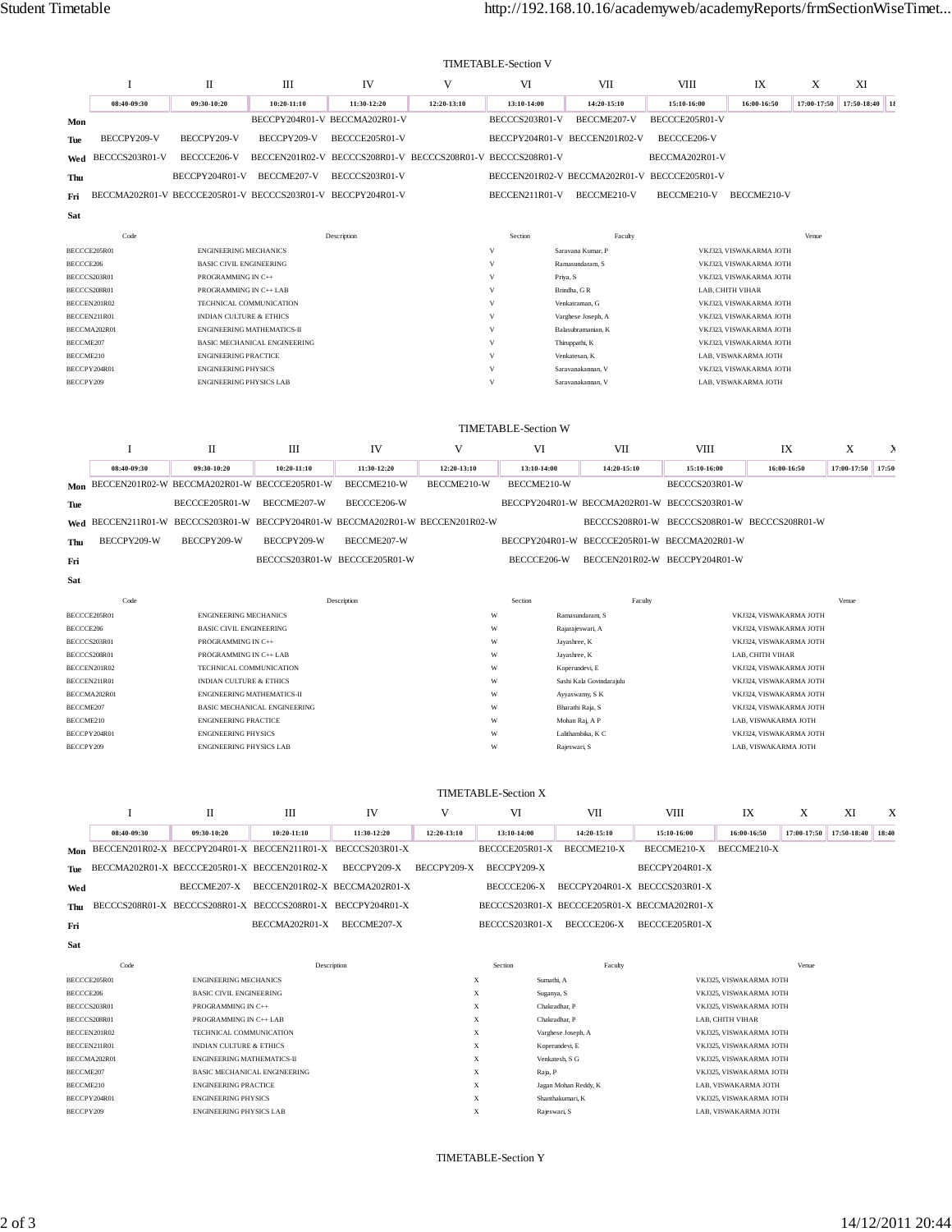|           | <b>TIMETABLE-Section V</b>                                  |                                    |                                     |                                                             |             |                |                                              |                |                         |             |                |  |
|-----------|-------------------------------------------------------------|------------------------------------|-------------------------------------|-------------------------------------------------------------|-------------|----------------|----------------------------------------------|----------------|-------------------------|-------------|----------------|--|
|           |                                                             | П                                  | Ш                                   | IV                                                          | V           | VI             | VII                                          | VIII           | IX                      | X           | XI             |  |
|           | 08:40-09:30                                                 | 09:30-10:20                        | 10:20-11:10                         | 11:30-12:20                                                 | 12:20-13:10 | 13:10-14:00    | 14:20-15:10                                  | 15:10-16:00    | 16:00-16:50             | 17:00-17:50 | 17:50-18:40 18 |  |
| Mon       |                                                             |                                    |                                     | BECCPY204R01-V BECCMA202R01-V                               |             | BECCCS203R01-V | BECCME207-V                                  | BECCCE205R01-V |                         |             |                |  |
| Tue       | BECCPY209-V                                                 | BECCPY209-V                        | BECCPY209-V                         | BECCCE205R01-V                                              |             |                | BECCPY204R01-V BECCEN201R02-V                | BECCCE206-V    |                         |             |                |  |
| Wed       | BECCCS203R01-V                                              | BECCCE206-V                        |                                     | BECCEN201R02-V BECCCS208R01-V BECCCS208R01-V BECCCS208R01-V |             |                |                                              | BECCMA202R01-V |                         |             |                |  |
| Thu       |                                                             | BECCPY204R01-V                     | BECCME207-V                         | BECCCS203R01-V                                              |             |                | BECCEN201R02-V BECCMA202R01-V BECCCE205R01-V |                |                         |             |                |  |
| Fri       | BECCMA202R01-V BECCCE205R01-V BECCCS203R01-V BECCPY204R01-V |                                    |                                     |                                                             |             | BECCEN211R01-V | BECCME210-V                                  | BECCME210-V    | BECCME210-V             |             |                |  |
| Sat       |                                                             |                                    |                                     |                                                             |             |                |                                              |                |                         |             |                |  |
|           | Code                                                        |                                    |                                     | Description                                                 |             | Section        | Faculty                                      |                |                         | Venue       |                |  |
|           | BECCCE205R01                                                | <b>ENGINEERING MECHANICS</b>       |                                     |                                                             |             | V              | Saravana Kumar, P                            |                | VKJ323, VISWAKARMA JOTH |             |                |  |
| BECCCE206 |                                                             | <b>BASIC CIVIL ENGINEERING</b>     |                                     |                                                             |             | V              | Ramasundaram, S                              |                | VKJ323, VISWAKARMA JOTH |             |                |  |
|           | BECCCS203R01                                                | PROGRAMMING IN C++                 |                                     |                                                             |             | V              | Priya, S                                     |                | VKJ323, VISWAKARMA JOTH |             |                |  |
|           | BECCCS208R01                                                | PROGRAMMING IN C++ LAB             |                                     |                                                             |             | V              | Brindha, GR                                  |                | LAB, CHITH VIHAR        |             |                |  |
|           | BECCEN201R02                                                | TECHNICAL COMMUNICATION            |                                     |                                                             |             | V              | Venkatraman, G                               |                | VKJ323, VISWAKARMA JOTH |             |                |  |
|           | BECCEN211R01                                                | <b>INDIAN CULTURE &amp; ETHICS</b> |                                     |                                                             |             | V              | Varghese Joseph, A                           |                | VKJ323, VISWAKARMA JOTH |             |                |  |
|           | BECCMA202R01                                                |                                    | <b>ENGINEERING MATHEMATICS-II</b>   |                                                             |             | V              | Balasubramanian, K                           |                | VKJ323, VISWAKARMA JOTH |             |                |  |
| BECCME207 |                                                             |                                    | <b>BASIC MECHANICAL ENGINEERING</b> |                                                             |             | V              | Thiruppathi, K                               |                | VKJ323, VISWAKARMA JOTH |             |                |  |
| BECCME210 |                                                             | <b>ENGINEERING PRACTICE</b>        |                                     |                                                             |             | V              | Venkatesan, K                                |                | LAB. VISWAKARMA JOTH    |             |                |  |
|           | BECCPY204R01                                                | <b>ENGINEERING PHYSICS</b>         |                                     |                                                             |             | V              | Saravanakannan, V                            |                | VKJ323, VISWAKARMA JOTH |             |                |  |
| BECCPY209 |                                                             | <b>ENGINEERING PHYSICS LAB</b>     |                                     |                                                             |             | V              | Saravanakannan, V                            |                | LAB. VISWAKARMA JOTH    |             |                |  |

|           |              |                                                  |               |                                                                                |             | <b>TIMETABLE-Section W</b> |                                              |                                              |                         |             |       |
|-----------|--------------|--------------------------------------------------|---------------|--------------------------------------------------------------------------------|-------------|----------------------------|----------------------------------------------|----------------------------------------------|-------------------------|-------------|-------|
|           |              | П                                                | Ш             | IV                                                                             | V           | VI                         | VII                                          | <b>VIII</b>                                  | IX                      | X           | Σ     |
|           | 08:40-09:30  | 09:30-10:20                                      | $10:20-11:10$ | 11:30-12:20                                                                    | 12:20-13:10 | 13:10-14:00                | 14:20-15:10                                  | 15:10-16:00                                  | 16:00-16:50             | 17:00-17:50 | 17:50 |
|           |              | Mon BECCEN201R02-W BECCMA202R01-W BECCCE205R01-W |               | BECCME210-W                                                                    | BECCME210-W | BECCME210-W                |                                              | BECCCS203R01-W                               |                         |             |       |
| Tue       |              | BECCCE205R01-W                                   | BECCME207-W   | BECCCE206-W                                                                    |             |                            | BECCPY204R01-W BECCMA202R01-W BECCCS203R01-W |                                              |                         |             |       |
|           |              |                                                  |               | Wed BECCEN211R01-W BECCCS203R01-W BECCPY204R01-W BECCMA202R01-W BECCEN201R02-W |             |                            |                                              | BECCCS208R01-W BECCCS208R01-W BECCCS208R01-W |                         |             |       |
| Thu       | BECCPY209-W  | BECCPY209-W                                      | BECCPY209-W   | BECCME207-W                                                                    |             |                            | BECCPY204R01-W BECCCE205R01-W BECCMA202R01-W |                                              |                         |             |       |
| Fri       |              |                                                  |               | BECCCS203R01-W BECCCE205R01-W                                                  |             | BECCCE206-W                |                                              | BECCEN201R02-W BECCPY204R01-W                |                         |             |       |
| Sat       |              |                                                  |               |                                                                                |             |                            |                                              |                                              |                         |             |       |
|           | Code         |                                                  |               | Description                                                                    |             | Section                    | Faculty                                      |                                              |                         | Venue       |       |
|           | BECCCE205R01 | <b>ENGINEERING MECHANICS</b>                     |               |                                                                                | W           |                            | Ramasundaram, S                              |                                              | VKJ324, VISWAKARMA JOTH |             |       |
| BECCCE206 |              | <b>BASIC CIVIL ENGINEERING</b>                   |               |                                                                                | W           |                            | Rajarajeswari, A                             |                                              | VKJ324, VISWAKARMA JOTH |             |       |
|           | BECCCS203R01 | PROGRAMMING IN C++                               |               |                                                                                | W           |                            | Jayashree, K                                 |                                              | VKJ324, VISWAKARMA JOTH |             |       |
|           | BECCCS208R01 | PROGRAMMING IN C++ LAB                           |               |                                                                                | W           |                            | Jayashree, K                                 |                                              | LAB, CHITH VIHAR        |             |       |
|           | BECCEN201R02 | TECHNICAL COMMUNICATION                          |               |                                                                                | W           |                            | Koperundevi, E                               |                                              | VKJ324, VISWAKARMA JOTH |             |       |

| <b>BEUCENZUIKUZ</b> | LEUHNIUAL UUMMUNIUAHUN              | NODETURGE VL. E.         | VINJƏZ4. VID WANAKMA JUTH |
|---------------------|-------------------------------------|--------------------------|---------------------------|
| BECCEN211R01        | INDIAN CULTURE & ETHICS             | Sashi Kala Govindarajulu | VKJ324, VISWAKARMA JOTH   |
| BECCMA202R01        | ENGINEERING MATHEMATICS-II          | Ayyaswamy, S K           | VKJ324, VISWAKARMA JOTH   |
| BECCME207           | <b>BASIC MECHANICAL ENGINEERING</b> | Bharathi Raja, S         | VKJ324, VISWAKARMA JOTH   |
| BECCME210           | <b>ENGINEERING PRACTICE</b>         | Mohan Rai, A P           | LAB. VISWAKARMA JOTH      |
| BECCPY204R01        | <b>ENGINEERING PHYSICS</b>          | Lalithambika, K C        | VKJ324, VISWAKARMA JOTH   |
| BECCPY209           | <b>ENGINEERING PHYSICS LAB</b>      | Rajeswari, S             | LAB. VISWAKARMA JOTH      |

## TIMETABLE-Section X

|              |              | П                                  | Ш                                                           | IV          | V           | VI             | VII                                          | <b>VIII</b>                   | IX                      | X           | XI                | X |
|--------------|--------------|------------------------------------|-------------------------------------------------------------|-------------|-------------|----------------|----------------------------------------------|-------------------------------|-------------------------|-------------|-------------------|---|
|              | 08:40-09:30  | 09:30-10:20                        | $10:20-11:10$                                               | 11:30-12:20 | 12:20-13:10 | 13:10-14:00    | 14:20-15:10                                  | 15:10-16:00                   | 16:00-16:50             | 17:00-17:50 | 17:50-18:40 18:40 |   |
| Mon          |              |                                    | BECCEN201R02-X BECCPY204R01-X BECCEN211R01-X BECCCS203R01-X |             |             | BECCCE205R01-X | BECCME210-X                                  | BECCME210-X                   | BECCME210-X             |             |                   |   |
| Tue          |              |                                    | BECCMA202R01-X BECCCE205R01-X BECCEN201R02-X                | BECCPY209-X | BECCPY209-X | BECCPY209-X    |                                              | BECCPY204R01-X                |                         |             |                   |   |
| Wed          |              | BECCME207-X                        | BECCEN201R02-X BECCMA202R01-X                               |             |             | BECCCE206-X    |                                              | BECCPY204R01-X BECCCS203R01-X |                         |             |                   |   |
| Thu          |              |                                    | BECCCS208R01-X BECCCS208R01-X BECCCS208R01-X BECCPY204R01-X |             |             |                | BECCCS203R01-X BECCCE205R01-X BECCMA202R01-X |                               |                         |             |                   |   |
| Fri          |              |                                    | BECCMA202R01-X                                              | BECCME207-X |             | BECCCS203R01-X | BECCCE206-X                                  | BECCCE205R01-X                |                         |             |                   |   |
| Sat          |              |                                    |                                                             |             |             |                |                                              |                               |                         |             |                   |   |
|              | Code         |                                    | Description                                                 |             |             | Section        | Faculty                                      |                               |                         | Venue       |                   |   |
|              | BECCCE205R01 | <b>ENGINEERING MECHANICS</b>       |                                                             |             |             | X              | Sumathi, A                                   |                               | VKJ325, VISWAKARMA JOTH |             |                   |   |
| BECCCE206    |              | <b>BASIC CIVIL ENGINEERING</b>     |                                                             |             |             | X              | Suganya, S                                   |                               | VKJ325, VISWAKARMA JOTH |             |                   |   |
| BECCCS203R01 |              | PROGRAMMING IN C++                 |                                                             |             |             | X              | Chakradhar, P                                |                               | VKJ325, VISWAKARMA JOTH |             |                   |   |
| BECCCS208R01 |              | PROGRAMMING IN C++ LAB             |                                                             |             |             | X              | Chakradhar, P                                |                               | LAB. CHITH VIHAR        |             |                   |   |
|              | BECCEN201R02 | TECHNICAL COMMUNICATION            |                                                             |             |             | X              | Varghese Joseph, A                           |                               | VKJ325, VISWAKARMA JOTH |             |                   |   |
|              | BECCEN211R01 | <b>INDIAN CULTURE &amp; ETHICS</b> |                                                             |             |             | X              | Koperundevi, E                               |                               | VKJ325, VISWAKARMA JOTH |             |                   |   |
|              | BECCMA202R01 | <b>ENGINEERING MATHEMATICS-II</b>  |                                                             |             |             | X              | Venkatesh, S G                               |                               | VKJ325, VISWAKARMA JOTH |             |                   |   |
| BECCME207    |              |                                    | <b>BASIC MECHANICAL ENGINEERING</b>                         |             |             | X<br>Raja, P   |                                              |                               | VKJ325, VISWAKARMA JOTH |             |                   |   |
| BECCME210    |              | <b>ENGINEERING PRACTICE</b>        |                                                             |             |             | X              | Jagan Mohan Reddy, K                         |                               | LAB, VISWAKARMA JOTH    |             |                   |   |

BECCME210 ENGINEERING PRACTICE X Jagan Mohan Reddy, K LAB, VISWAKARMA JOTH BECCPY204R01 ENGINEERING PHYSICS **ENGINEERING PHYSICS** SHANTHAKUMA TO THE SHANTHAKUMA TO THE SHANTHAKUMA SOTH BECCPY209 ENGINEERING PHYSICS LAB X Rajeswari, S LAB, VISWAKARMA JOTH